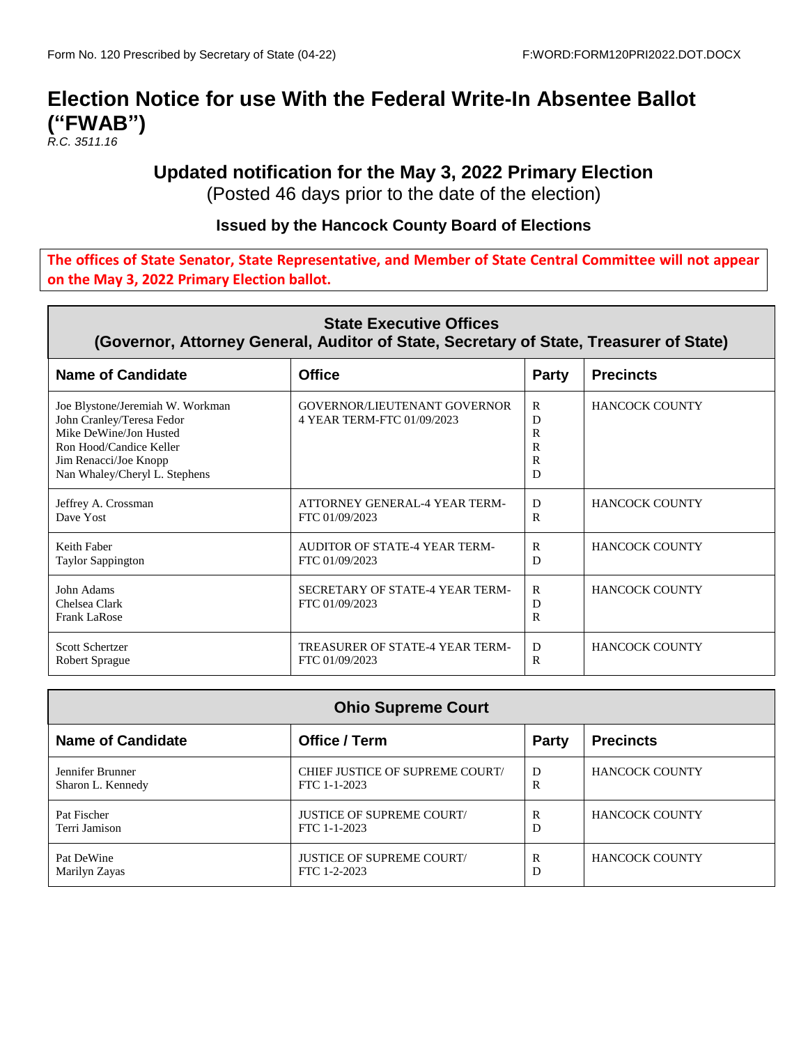# **Election Notice for use With the Federal Write-In Absentee Ballot ("FWAB")**

*R.C. 3511.16*

### **Updated notification for the May 3, 2022 Primary Election**

(Posted 46 days prior to the date of the election)

#### **Issued by the Hancock County Board of Elections**

#### **The offices of State Senator, State Representative, and Member of State Central Committee will not appear on the May 3, 2022 Primary Election ballot.**

| <b>State Executive Offices</b><br>(Governor, Attorney General, Auditor of State, Secretary of State, Treasurer of State)                                                     |                                                                   |                                                  |                       |
|------------------------------------------------------------------------------------------------------------------------------------------------------------------------------|-------------------------------------------------------------------|--------------------------------------------------|-----------------------|
| <b>Name of Candidate</b>                                                                                                                                                     | <b>Office</b>                                                     | <b>Party</b>                                     | <b>Precincts</b>      |
| Joe Blystone/Jeremiah W. Workman<br>John Cranley/Teresa Fedor<br>Mike DeWine/Jon Husted<br>Ron Hood/Candice Keller<br>Jim Renacci/Joe Knopp<br>Nan Whaley/Cheryl L. Stephens | <b>GOVERNOR/LIEUTENANT GOVERNOR</b><br>4 YEAR TERM-FTC 01/09/2023 | $\mathsf{R}$<br>D<br>R<br>$\mathsf{R}$<br>R<br>D | <b>HANCOCK COUNTY</b> |
| Jeffrey A. Crossman<br>Dave Yost                                                                                                                                             | ATTORNEY GENERAL-4 YEAR TERM-<br>FTC 01/09/2023                   | D<br>$\mathsf{R}$                                | <b>HANCOCK COUNTY</b> |
| Keith Faber<br>Taylor Sappington                                                                                                                                             | AUDITOR OF STATE-4 YEAR TERM-<br>FTC 01/09/2023                   | $\mathsf{R}$<br>D                                | <b>HANCOCK COUNTY</b> |
| John Adams<br>Chelsea Clark<br>Frank LaRose                                                                                                                                  | SECRETARY OF STATE-4 YEAR TERM-<br>FTC 01/09/2023                 | $\mathsf{R}$<br>D<br>R                           | <b>HANCOCK COUNTY</b> |
| Scott Schertzer<br>Robert Sprague                                                                                                                                            | TREASURER OF STATE-4 YEAR TERM-<br>FTC 01/09/2023                 | D<br>R                                           | <b>HANCOCK COUNTY</b> |

| <b>Ohio Supreme Court</b> |                                        |              |                       |
|---------------------------|----------------------------------------|--------------|-----------------------|
| <b>Name of Candidate</b>  | Office / Term                          | <b>Party</b> | <b>Precincts</b>      |
| Jennifer Brunner          | <b>CHIEF JUSTICE OF SUPREME COURT/</b> | D            | <b>HANCOCK COUNTY</b> |
| Sharon L. Kennedy         | FTC 1-1-2023                           | R            |                       |
| Pat Fischer               | <b>JUSTICE OF SUPREME COURT/</b>       | R            | <b>HANCOCK COUNTY</b> |
| Terri Jamison             | FTC 1-1-2023                           | D            |                       |
| Pat DeWine                | <b>JUSTICE OF SUPREME COURT/</b>       | R            | <b>HANCOCK COUNTY</b> |
| Marilyn Zayas             | FTC 1-2-2023                           | D            |                       |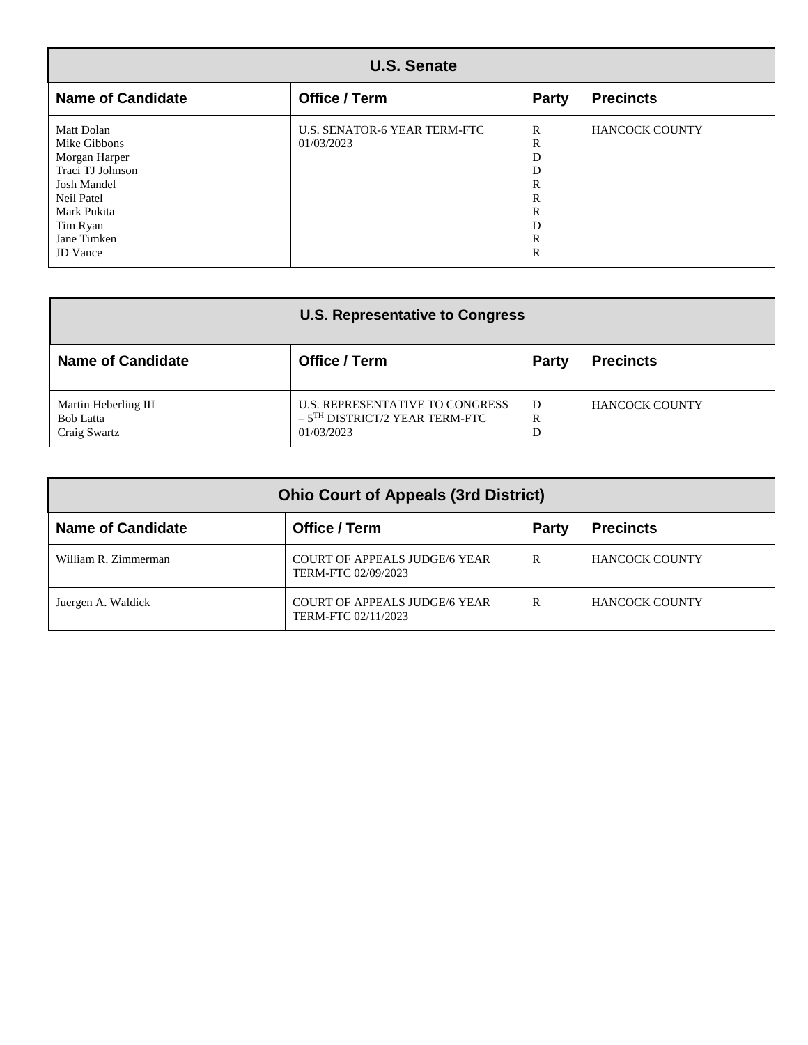| <b>U.S. Senate</b>                                                                                                                                               |                                                   |                                                                                            |                       |
|------------------------------------------------------------------------------------------------------------------------------------------------------------------|---------------------------------------------------|--------------------------------------------------------------------------------------------|-----------------------|
| <b>Name of Candidate</b>                                                                                                                                         | Office / Term                                     | <b>Party</b>                                                                               | <b>Precincts</b>      |
| Matt Dolan<br>Mike Gibbons<br>Morgan Harper<br>Traci TJ Johnson<br><b>Josh Mandel</b><br>Neil Patel<br>Mark Pukita<br>Tim Ryan<br>Jane Timken<br><b>JD</b> Vance | <b>U.S. SENATOR-6 YEAR TERM-FTC</b><br>01/03/2023 | R<br>R<br>D<br>D<br>R<br>$\mathbb{R}$<br>$\mathbb{R}$<br>D<br>$\mathbb{R}$<br>$\mathbb{R}$ | <b>HANCOCK COUNTY</b> |

| <b>U.S. Representative to Congress</b>                   |                                                                                              |              |                       |
|----------------------------------------------------------|----------------------------------------------------------------------------------------------|--------------|-----------------------|
| <b>Name of Candidate</b>                                 | Office / Term                                                                                | <b>Party</b> | <b>Precincts</b>      |
| Martin Heberling III<br><b>Bob Latta</b><br>Craig Swartz | U.S. REPRESENTATIVE TO CONGRESS<br>$-5$ <sup>TH</sup> DISTRICT/2 YEAR TERM-FTC<br>01/03/2023 | D<br>R<br>D  | <b>HANCOCK COUNTY</b> |

| <b>Ohio Court of Appeals (3rd District)</b> |                                                             |              |                       |
|---------------------------------------------|-------------------------------------------------------------|--------------|-----------------------|
| <b>Name of Candidate</b>                    | Office / Term                                               | Party        | <b>Precincts</b>      |
| William R. Zimmerman                        | <b>COURT OF APPEALS JUDGE/6 YEAR</b><br>TERM-FTC 02/09/2023 | R            | <b>HANCOCK COUNTY</b> |
| Juergen A. Waldick                          | <b>COURT OF APPEALS JUDGE/6 YEAR</b><br>TERM-FTC 02/11/2023 | $\mathbb{R}$ | <b>HANCOCK COUNTY</b> |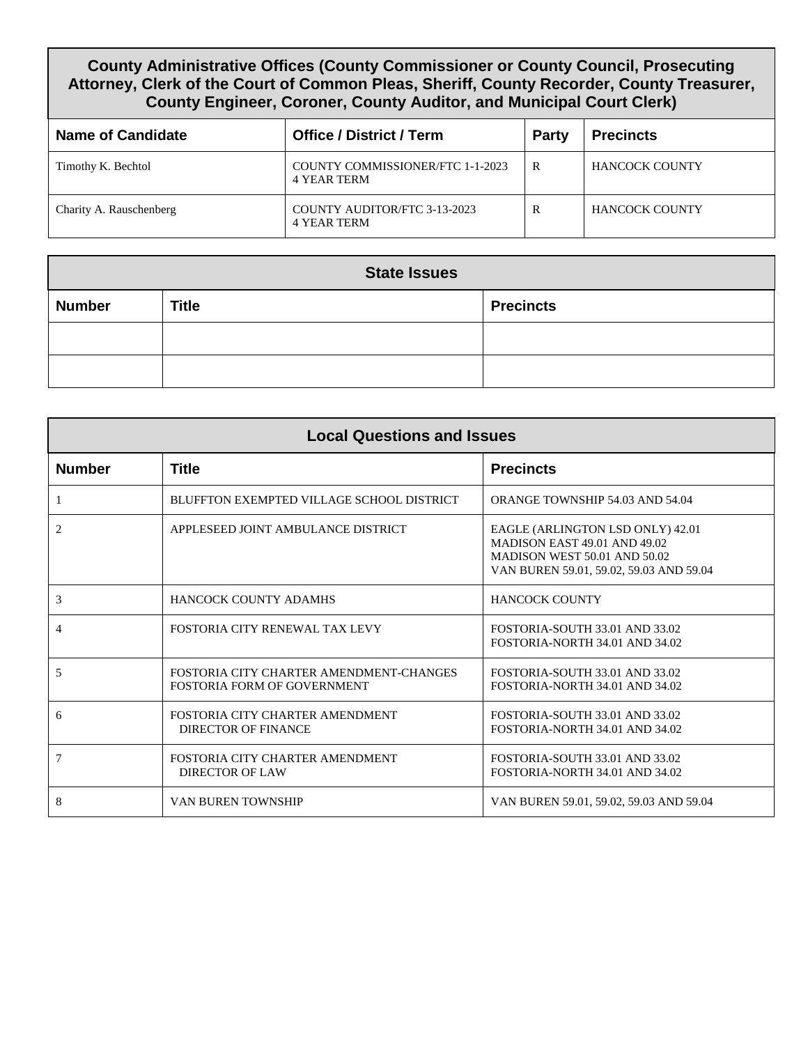#### **County Administrative Offices (County Commissioner or County Council, Prosecuting Attorney, Clerk of the Court of Common Pleas, Sheriff, County Recorder, County Treasurer, County Engineer, Coroner, County Auditor, and Municipal Court Clerk)**

| <b>Name of Candidate</b> | <b>Office / District / Term</b>                        | <b>Party</b> | <b>Precincts</b>      |
|--------------------------|--------------------------------------------------------|--------------|-----------------------|
| Timothy K. Bechtol       | COUNTY COMMISSIONER/FTC 1-1-2023<br><b>4 YEAR TERM</b> | R            | <b>HANCOCK COUNTY</b> |
| Charity A. Rauschenberg  | COUNTY AUDITOR/FTC 3-13-2023<br>4 YEAR TERM            | R            | <b>HANCOCK COUNTY</b> |

| <b>State Issues</b> |              |                  |  |
|---------------------|--------------|------------------|--|
| <b>Number</b>       | <b>Title</b> | <b>Precincts</b> |  |
|                     |              |                  |  |
|                     |              |                  |  |

| <b>Local Questions and Issues</b> |                                                                               |                                                                                                                                             |  |
|-----------------------------------|-------------------------------------------------------------------------------|---------------------------------------------------------------------------------------------------------------------------------------------|--|
| <b>Number</b>                     | <b>Title</b>                                                                  | <b>Precincts</b>                                                                                                                            |  |
| -1                                | BLUFFTON EXEMPTED VILLAGE SCHOOL DISTRICT                                     | <b>ORANGE TOWNSHIP 54.03 AND 54.04</b>                                                                                                      |  |
| 2                                 | APPLESEED JOINT AMBULANCE DISTRICT                                            | EAGLE (ARLINGTON LSD ONLY) 42.01<br>MADISON EAST 49.01 AND 49.02<br>MADISON WEST 50.01 AND 50.02<br>VAN BUREN 59.01, 59.02, 59.03 AND 59.04 |  |
| 3                                 | <b>HANCOCK COUNTY ADAMHS</b>                                                  | <b>HANCOCK COUNTY</b>                                                                                                                       |  |
| $\overline{4}$                    | FOSTORIA CITY RENEWAL TAX LEVY                                                | FOSTORIA-SOUTH 33.01 AND 33.02<br>FOSTORIA-NORTH 34.01 AND 34.02                                                                            |  |
| 5                                 | FOSTORIA CITY CHARTER AMENDMENT-CHANGES<br><b>FOSTORIA FORM OF GOVERNMENT</b> | FOSTORIA-SOUTH 33.01 AND 33.02<br>FOSTORIA-NORTH 34.01 AND 34.02                                                                            |  |
| 6                                 | FOSTORIA CITY CHARTER AMENDMENT<br><b>DIRECTOR OF FINANCE</b>                 | FOSTORIA-SOUTH 33.01 AND 33.02<br>FOSTORIA-NORTH 34.01 AND 34.02                                                                            |  |
| $\overline{7}$                    | FOSTORIA CITY CHARTER AMENDMENT<br><b>DIRECTOR OF LAW</b>                     | FOSTORIA-SOUTH 33.01 AND 33.02<br>FOSTORIA-NORTH 34.01 AND 34.02                                                                            |  |
| 8                                 | VAN BUREN TOWNSHIP                                                            | VAN BUREN 59.01, 59.02, 59.03 AND 59.04                                                                                                     |  |